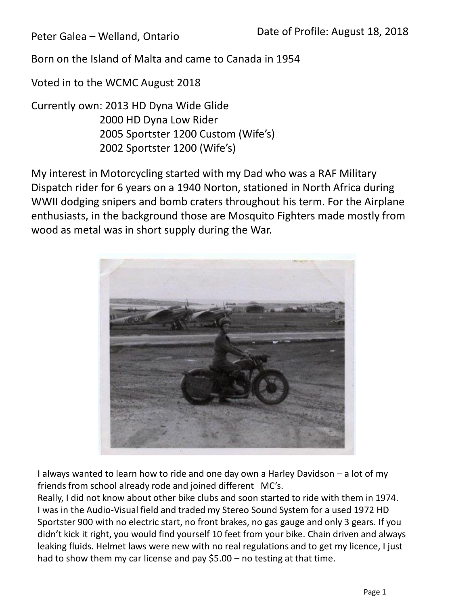Peter Galea – Welland, Ontario

Born on the Island of Malta and came to Canada in 1954

Voted in to the WCMC August 2018

Currently own: 2013 HD Dyna Wide Glide 2000 HD Dyna Low Rider 2005 Sportster 1200 Custom (Wife's) 2002 Sportster 1200 (Wife's)

My interest in Motorcycling started with my Dad who was a RAF Military Dispatch rider for 6 years on a 1940 Norton, stationed in North Africa during WWII dodging snipers and bomb craters throughout his term. For the Airplane enthusiasts, in the background those are Mosquito Fighters made mostly from wood as metal was in short supply during the War.



I always wanted to learn how to ride and one day own a Harley Davidson – a lot of my friends from school already rode and joined different MC's.

Really, I did not know about other bike clubs and soon started to ride with them in 1974. I was in the Audio-Visual field and traded my Stereo Sound System for a used 1972 HD Sportster 900 with no electric start, no front brakes, no gas gauge and only 3 gears. If you didn't kick it right, you would find yourself 10 feet from your bike. Chain driven and always leaking fluids. Helmet laws were new with no real regulations and to get my licence, I just had to show them my car license and pay \$5.00 – no testing at that time.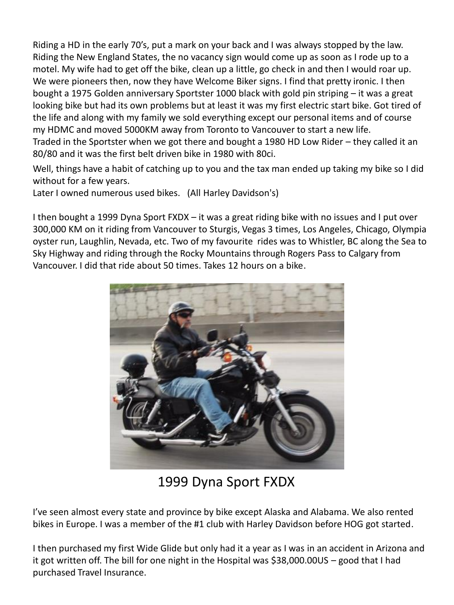Riding a HD in the early 70's, put a mark on your back and I was always stopped by the law. Riding the New England States, the no vacancy sign would come up as soon as I rode up to a motel. My wife had to get off the bike, clean up a little, go check in and then I would roar up. We were pioneers then, now they have Welcome Biker signs. I find that pretty ironic. I then bought a 1975 Golden anniversary Sportster 1000 black with gold pin striping – it was a great looking bike but had its own problems but at least it was my first electric start bike. Got tired of the life and along with my family we sold everything except our personal items and of course my HDMC and moved 5000KM away from Toronto to Vancouver to start a new life. Traded in the Sportster when we got there and bought a 1980 HD Low Rider – they called it an 80/80 and it was the first belt driven bike in 1980 with 80ci.

Well, things have a habit of catching up to you and the tax man ended up taking my bike so I did without for a few years.

Later I owned numerous used bikes. (All Harley Davidson's)

I then bought a 1999 Dyna Sport FXDX – it was a great riding bike with no issues and I put over 300,000 KM on it riding from Vancouver to Sturgis, Vegas 3 times, Los Angeles, Chicago, Olympia oyster run, Laughlin, Nevada, etc. Two of my favourite rides was to Whistler, BC along the Sea to Sky Highway and riding through the Rocky Mountains through Rogers Pass to Calgary from Vancouver. I did that ride about 50 times. Takes 12 hours on a bike.



1999 Dyna Sport FXDX

I've seen almost every state and province by bike except Alaska and Alabama. We also rented bikes in Europe. I was a member of the #1 club with Harley Davidson before HOG got started.

I then purchased my first Wide Glide but only had it a year as I was in an accident in Arizona and it got written off. The bill for one night in the Hospital was \$38,000.00US – good that I had purchased Travel Insurance.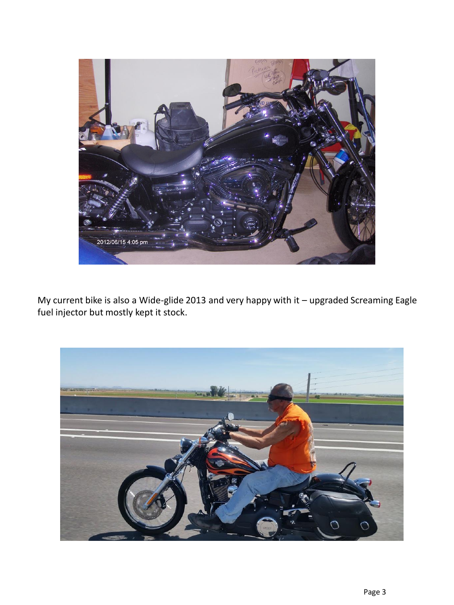

My current bike is also a Wide-glide 2013 and very happy with it – upgraded Screaming Eagle fuel injector but mostly kept it stock.